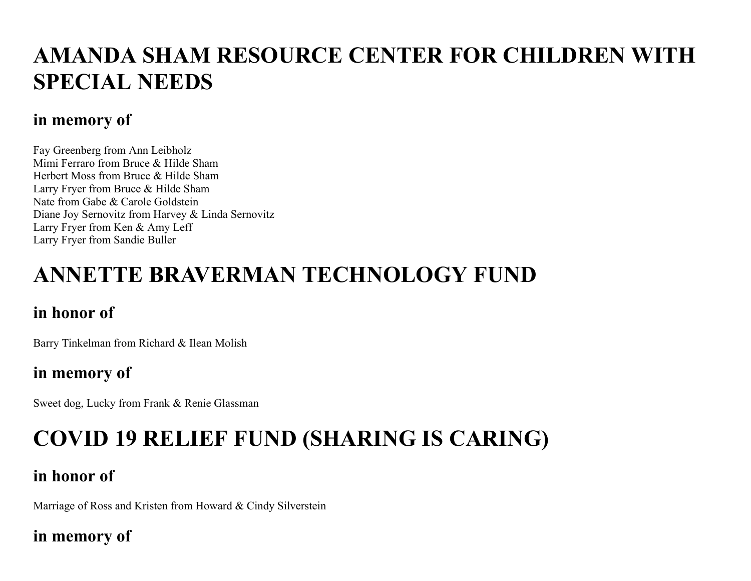# **AMANDA SHAM RESOURCE CENTER FOR CHILDREN WITH SPECIAL NEEDS**

## **in memory of**

Fay Greenberg from Ann Leibholz Mimi Ferraro from Bruce & Hilde Sham Herbert Moss from Bruce & Hilde Sham Larry Fryer from Bruce & Hilde Sham Nate from Gabe & Carole Goldstein Diane Joy Sernovitz from Harvey & Linda Sernovitz Larry Fryer from Ken & Amy Leff Larry Fryer from Sandie Buller

# **ANNETTE BRAVERMAN TECHNOLOGY FUND**

### **in honor of**

Barry Tinkelman from Richard & Ilean Molish

#### **in memory of**

Sweet dog, Lucky from Frank & Renie Glassman

# **COVID 19 RELIEF FUND (SHARING IS CARING)**

#### **in honor of**

Marriage of Ross and Kristen from Howard & Cindy Silverstein

### **in memory of**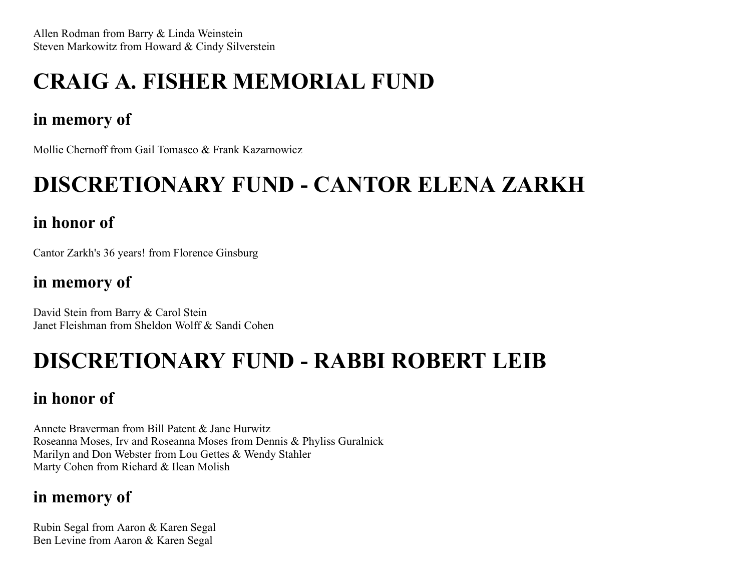# **CRAIG A. FISHER MEMORIAL FUND**

## **in memory of**

Mollie Chernoff from Gail Tomasco & Frank Kazarnowicz

# **DISCRETIONARY FUND - CANTOR ELENA ZARKH**

## **in honor of**

Cantor Zarkh's 36 years! from Florence Ginsburg

## **in memory of**

David Stein from Barry & Carol Stein Janet Fleishman from Sheldon Wolff & Sandi Cohen

# **DISCRETIONARY FUND - RABBI ROBERT LEIB**

## **in honor of**

Annete Braverman from Bill Patent & Jane Hurwitz Roseanna Moses, Irv and Roseanna Moses from Dennis & Phyliss Guralnick Marilyn and Don Webster from Lou Gettes & Wendy Stahler Marty Cohen from Richard & Ilean Molish

## **in memory of**

Rubin Segal from Aaron & Karen Segal Ben Levine from Aaron & Karen Segal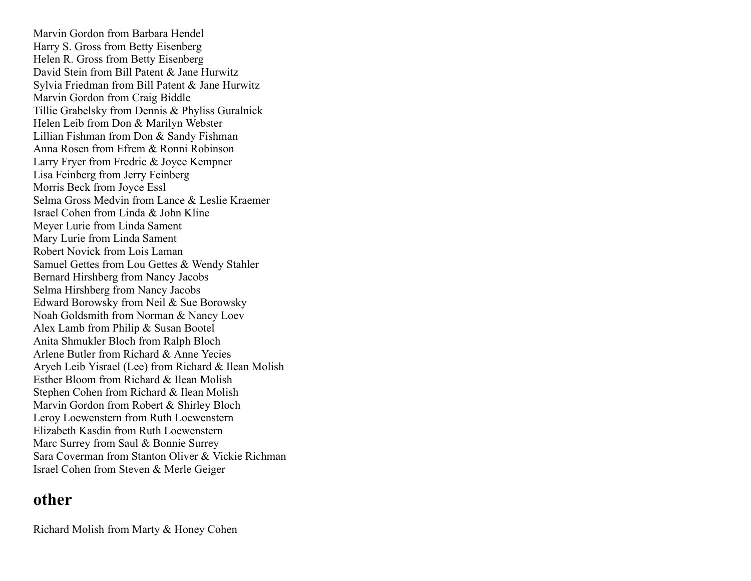Marvin Gordon from Barbara Hendel Harry S. Gross from Betty Eisenberg Helen R. Gross from Betty Eisenberg David Stein from Bill Patent & Jane Hurwitz Sylvia Friedman from Bill Patent & Jane Hurwitz Marvin Gordon from Craig Biddle Tillie Grabelsky from Dennis & Phyliss Guralnick Helen Leib from Don & Marilyn Webster Lillian Fishman from Don & Sandy Fishman Anna Rosen from Efrem & Ronni Robinson Larry Fryer from Fredric & Joyce Kempner Lisa Feinberg from Jerry Feinberg Morris Beck from Joyce Essl Selma Gross Medvin from Lance & Leslie Kraemer Israel Cohen from Linda & John Kline Meyer Lurie from Linda Sament Mary Lurie from Linda Sament Robert Novick from Lois Laman Samuel Gettes from Lou Gettes & Wendy Stahler Bernard Hirshberg from Nancy Jacobs Selma Hirshberg from Nancy Jacobs Edward Borowsky from Neil & Sue Borowsky Noah Goldsmith from Norman & Nancy Loev Alex Lamb from Philip & Susan Bootel Anita Shmukler Bloch from Ralph Bloch Arlene Butler from Richard & Anne Yecies Aryeh Leib Yisrael (Lee) from Richard & Ilean Molish Esther Bloom from Richard & Ilean Molish Stephen Cohen from Richard & Ilean Molish Marvin Gordon from Robert & Shirley Bloch Leroy Loewenstern from Ruth Loewenstern Elizabeth Kasdin from Ruth Loewenstern Marc Surrey from Saul & Bonnie Surrey Sara Coverman from Stanton Oliver & Vickie Richman Israel Cohen from Steven & Merle Geiger

#### **other**

Richard Molish from Marty & Honey Cohen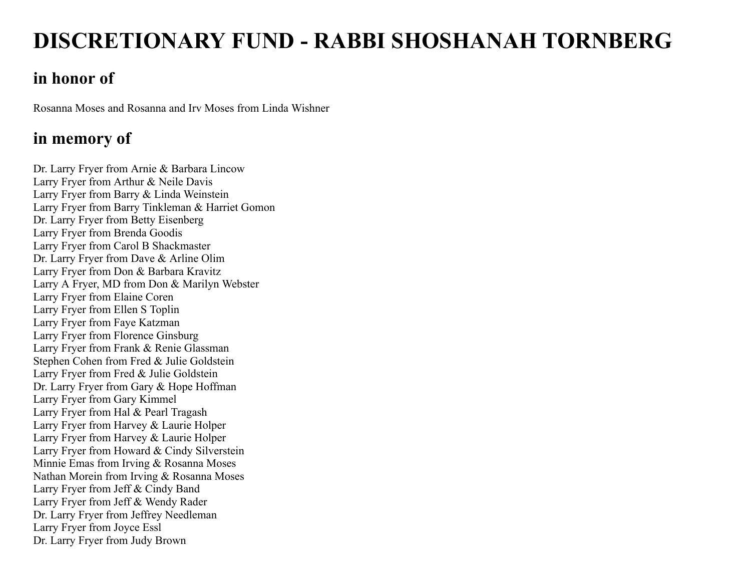# **DISCRETIONARY FUND - RABBI SHOSHANAH TORNBERG**

### **in honor of**

Rosanna Moses and Rosanna and Irv Moses from Linda Wishner

#### **in memory of**

Dr. Larry Fryer from Arnie & Barbara Lincow Larry Fryer from Arthur & Neile Davis Larry Fryer from Barry & Linda Weinstein Larry Fryer from Barry Tinkleman & Harriet Gomon Dr. Larry Fryer from Betty Eisenberg Larry Fryer from Brenda Goodis Larry Fryer from Carol B Shackmaster Dr. Larry Fryer from Dave & Arline Olim Larry Fryer from Don & Barbara Kravitz Larry A Fryer, MD from Don & Marilyn Webster Larry Fryer from Elaine Coren Larry Fryer from Ellen S Toplin Larry Fryer from Faye Katzman Larry Fryer from Florence Ginsburg Larry Fryer from Frank & Renie Glassman Stephen Cohen from Fred & Julie Goldstein Larry Fryer from Fred & Julie Goldstein Dr. Larry Fryer from Gary & Hope Hoffman Larry Fryer from Gary Kimmel Larry Fryer from Hal & Pearl Tragash Larry Fryer from Harvey & Laurie Holper Larry Fryer from Harvey & Laurie Holper Larry Fryer from Howard & Cindy Silverstein Minnie Emas from Irving & Rosanna Moses Nathan Morein from Irving & Rosanna Moses Larry Fryer from Jeff & Cindy Band Larry Fryer from Jeff & Wendy Rader Dr. Larry Fryer from Jeffrey Needleman Larry Fryer from Joyce Essl Dr. Larry Fryer from Judy Brown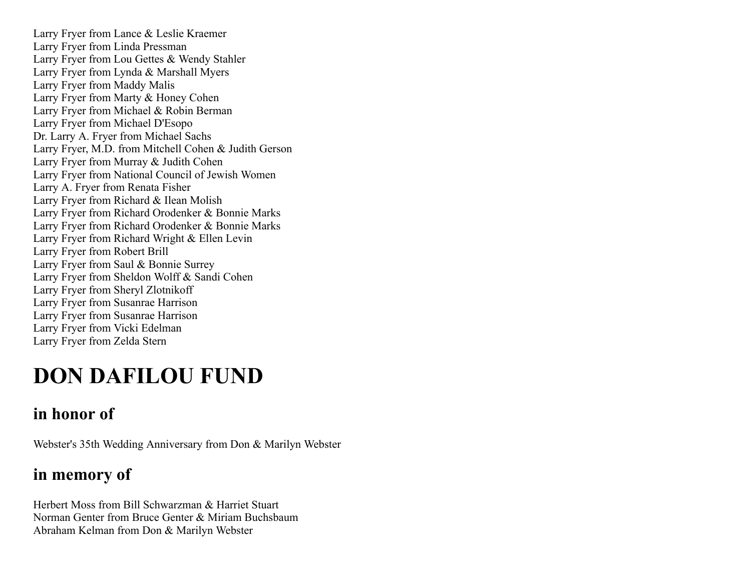Larry Fryer from Lance & Leslie Kraemer Larry Fryer from Linda Pressman Larry Fryer from Lou Gettes & Wendy Stahler Larry Fryer from Lynda & Marshall Myers Larry Fryer from Maddy Malis Larry Fryer from Marty & Honey Cohen Larry Fryer from Michael & Robin Berman Larry Fryer from Michael D'Esopo Dr. Larry A. Fryer from Michael Sachs Larry Fryer, M.D. from Mitchell Cohen & Judith Gerson Larry Fryer from Murray & Judith Cohen Larry Fryer from National Council of Jewish Women Larry A. Fryer from Renata Fisher Larry Fryer from Richard & Ilean Molish Larry Fryer from Richard Orodenker & Bonnie Marks Larry Fryer from Richard Orodenker & Bonnie Marks Larry Fryer from Richard Wright & Ellen Levin Larry Fryer from Robert Brill Larry Fryer from Saul & Bonnie Surrey Larry Fryer from Sheldon Wolff & Sandi Cohen Larry Fryer from Sheryl Zlotnikoff Larry Fryer from Susanrae Harrison Larry Fryer from Susanrae Harrison Larry Fryer from Vicki Edelman Larry Fryer from Zelda Stern

# **DON DAFILOU FUND**

### **in honor of**

Webster's 35th Wedding Anniversary from Don & Marilyn Webster

## **in memory of**

Herbert Moss from Bill Schwarzman & Harriet Stuart Norman Genter from Bruce Genter & Miriam Buchsbaum Abraham Kelman from Don & Marilyn Webster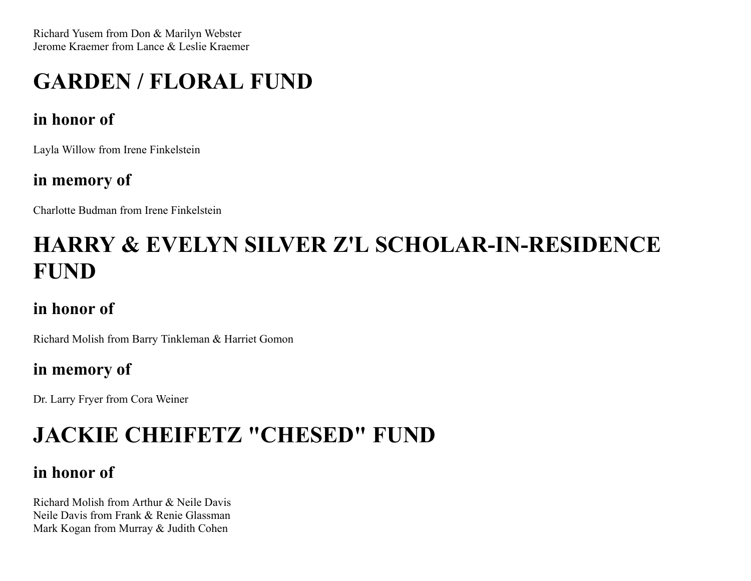Richard Yusem from Don & Marilyn Webster Jerome Kraemer from Lance & Leslie Kraemer

# **GARDEN / FLORAL FUND**

## **in honor of**

Layla Willow from Irene Finkelstein

## **in memory of**

Charlotte Budman from Irene Finkelstein

# **HARRY & EVELYN SILVER Z'L SCHOLAR-IN-RESIDENCE FUND**

### **in honor of**

Richard Molish from Barry Tinkleman & Harriet Gomon

## **in memory of**

Dr. Larry Fryer from Cora Weiner

# **JACKIE CHEIFETZ "CHESED" FUND**

## **in honor of**

Richard Molish from Arthur & Neile Davis Neile Davis from Frank & Renie Glassman Mark Kogan from Murray & Judith Cohen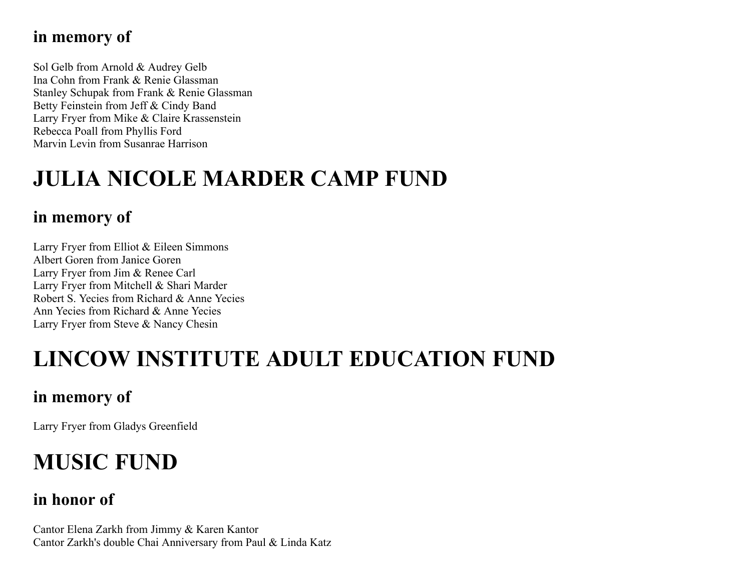## **in memory of**

Sol Gelb from Arnold & Audrey Gelb Ina Cohn from Frank & Renie Glassman Stanley Schupak from Frank & Renie Glassman Betty Feinstein from Jeff & Cindy Band Larry Fryer from Mike & Claire Krassenstein Rebecca Poall from Phyllis Ford Marvin Levin from Susanrae Harrison

## **JULIA NICOLE MARDER CAMP FUND**

### **in memory of**

Larry Fryer from Elliot & Eileen Simmons Albert Goren from Janice Goren Larry Fryer from Jim & Renee Carl Larry Fryer from Mitchell & Shari Marder Robert S. Yecies from Richard & Anne Yecies Ann Yecies from Richard & Anne Yecies Larry Fryer from Steve & Nancy Chesin

# **LINCOW INSTITUTE ADULT EDUCATION FUND**

### **in memory of**

Larry Fryer from Gladys Greenfield

# **MUSIC FUND**

#### **in honor of**

Cantor Elena Zarkh from Jimmy & Karen Kantor Cantor Zarkh's double Chai Anniversary from Paul & Linda Katz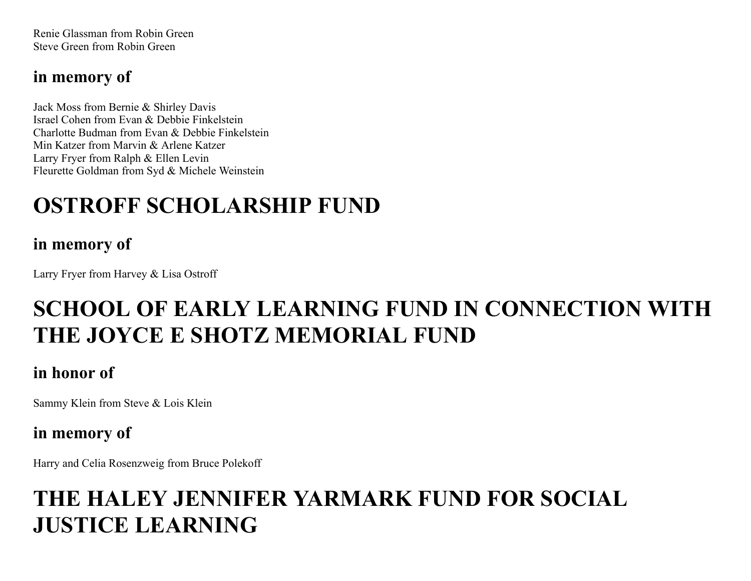Renie Glassman from Robin Green Steve Green from Robin Green

#### **in memory of**

Jack Moss from Bernie & Shirley Davis Israel Cohen from Evan & Debbie Finkelstein Charlotte Budman from Evan & Debbie Finkelstein Min Katzer from Marvin & Arlene Katzer Larry Fryer from Ralph & Ellen Levin Fleurette Goldman from Syd & Michele Weinstein

# **OSTROFF SCHOLARSHIP FUND**

### **in memory of**

Larry Fryer from Harvey & Lisa Ostroff

# **SCHOOL OF EARLY LEARNING FUND IN CONNECTION WITH THE JOYCE E SHOTZ MEMORIAL FUND**

### **in honor of**

Sammy Klein from Steve & Lois Klein

### **in memory of**

Harry and Celia Rosenzweig from Bruce Polekoff

# **THE HALEY JENNIFER YARMARK FUND FOR SOCIAL JUSTICE LEARNING**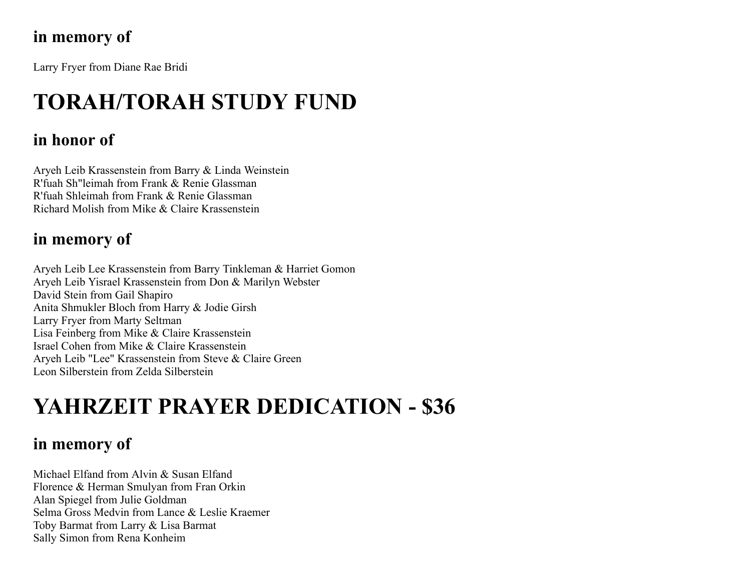## **in memory of**

Larry Fryer from Diane Rae Bridi

# **TORAH/TORAH STUDY FUND**

#### **in honor of**

Aryeh Leib Krassenstein from Barry & Linda Weinstein R'fuah Sh"leimah from Frank & Renie Glassman R'fuah Shleimah from Frank & Renie Glassman Richard Molish from Mike & Claire Krassenstein

### **in memory of**

Aryeh Leib Lee Krassenstein from Barry Tinkleman & Harriet Gomon Aryeh Leib Yisrael Krassenstein from Don & Marilyn Webster David Stein from Gail Shapiro Anita Shmukler Bloch from Harry & Jodie Girsh Larry Fryer from Marty Seltman Lisa Feinberg from Mike & Claire Krassenstein Israel Cohen from Mike & Claire Krassenstein Aryeh Leib "Lee" Krassenstein from Steve & Claire Green Leon Silberstein from Zelda Silberstein

# **YAHRZEIT PRAYER DEDICATION - \$36**

### **in memory of**

Michael Elfand from Alvin & Susan Elfand Florence & Herman Smulyan from Fran Orkin Alan Spiegel from Julie Goldman Selma Gross Medvin from Lance & Leslie Kraemer Toby Barmat from Larry & Lisa Barmat Sally Simon from Rena Konheim